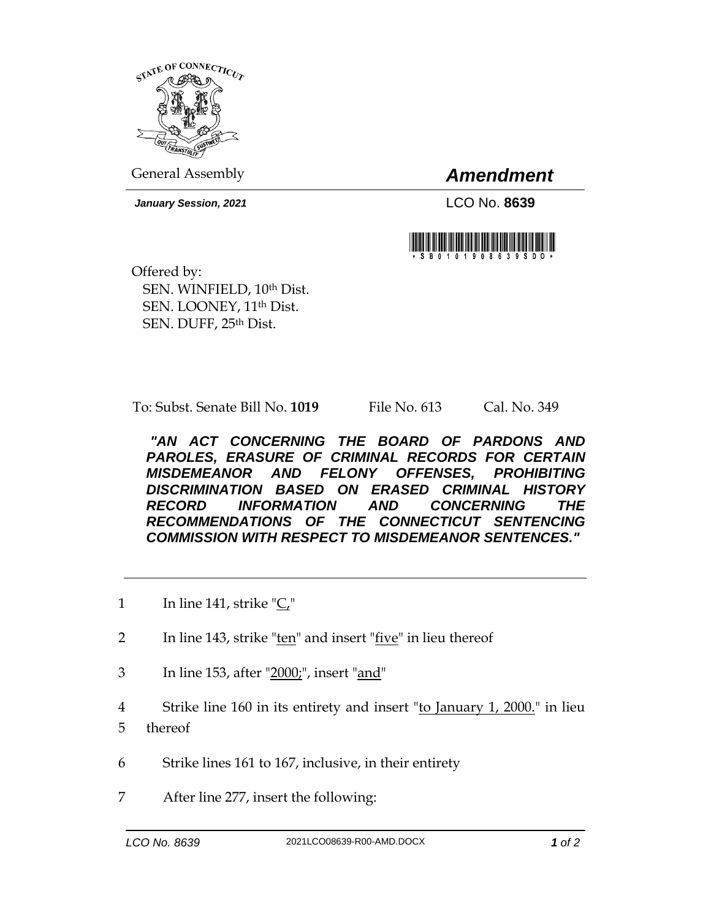

General Assembly *Amendment*

*January Session, 2021* LCO No. **8639**



Offered by: SEN. WINFIELD, 10th Dist. SEN. LOONEY, 11th Dist. SEN. DUFF, 25th Dist.

To: Subst. Senate Bill No. **1019** File No. 613 Cal. No. 349

*"AN ACT CONCERNING THE BOARD OF PARDONS AND PAROLES, ERASURE OF CRIMINAL RECORDS FOR CERTAIN MISDEMEANOR AND FELONY OFFENSES, PROHIBITING DISCRIMINATION BASED ON ERASED CRIMINAL HISTORY RECORD INFORMATION AND CONCERNING THE RECOMMENDATIONS OF THE CONNECTICUT SENTENCING COMMISSION WITH RESPECT TO MISDEMEANOR SENTENCES."* 

- 1 In line 141, strike "C,"
- 2 In line 143, strike " $ten$ " and insert " $five$ " in lieu thereof
- 3 In line 153, after "2000;", insert "and"
- 4 Strike line 160 in its entirety and insert "to January 1, 2000." in lieu 5 thereof
- 6 Strike lines 161 to 167, inclusive, in their entirety
- 7 After line 277, insert the following: